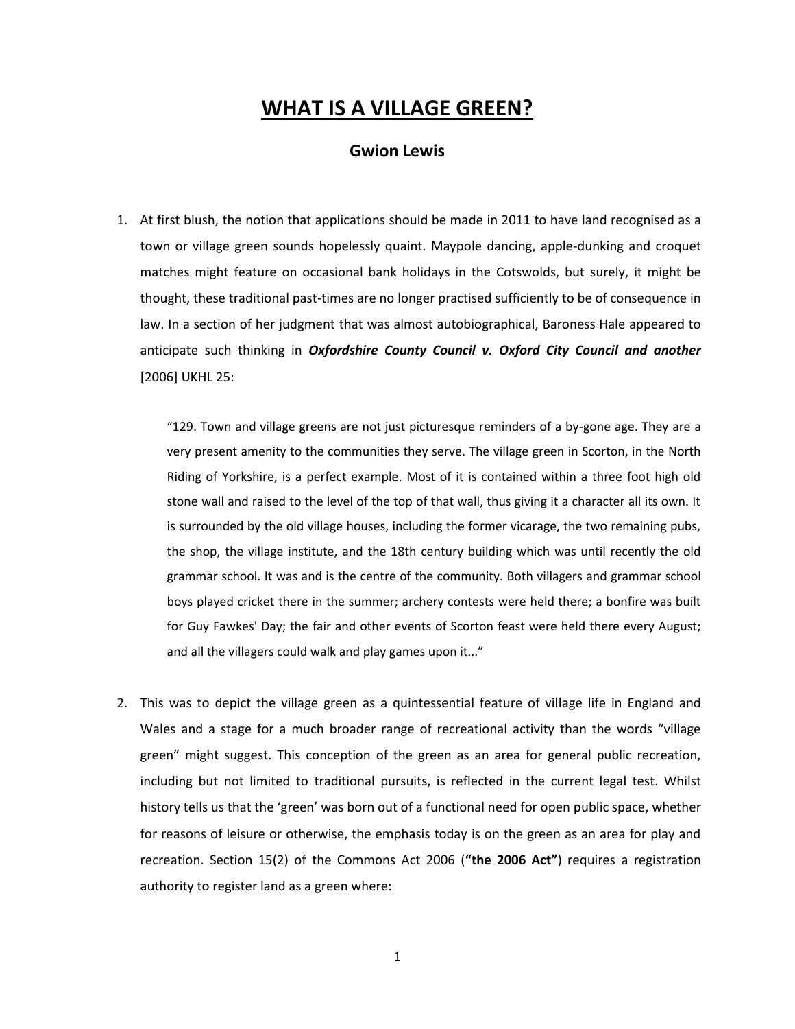# **WHAT IS A VILLAGE GREEN?**

# **Gwion Lewis**

1. At first blush, the notion that applications should be made in 2011 to have land recognised as a town or village green sounds hopelessly quaint. Maypole dancing, apple-dunking and croquet matches might feature on occasional bank holidays in the Cotswolds, but surely, it might be thought, these traditional past-times are no longer practised sufficiently to be of consequence in law. In a section of her judgment that was almost autobiographical, Baroness Hale appeared to anticipate such thinking in *Oxfordshire County Council v. Oxford City Council and another* [2006] UKHL 25:

"129. Town and village greens are not just picturesque reminders of a by-gone age. They are a very present amenity to the communities they serve. The village green in Scorton, in the North Riding of Yorkshire, is a perfect example. Most of it is contained within a three foot high old stone wall and raised to the level of the top of that wall, thus giving it a character all its own. It is surrounded by the old village houses, including the former vicarage, the two remaining pubs, the shop, the village institute, and the 18th century building which was until recently the old grammar school. It was and is the centre of the community. Both villagers and grammar school boys played cricket there in the summer; archery contests were held there; a bonfire was built for Guy Fawkes' Day; the fair and other events of Scorton feast were held there every August; and all the villagers could walk and play games upon it..."

2. This was to depict the village green as a quintessential feature of village life in England and Wales and a stage for a much broader range of recreational activity than the words "village green" might suggest. This conception of the green as an area for general public recreation, including but not limited to traditional pursuits, is reflected in the current legal test. Whilst history tells us that the 'green' was born out of a functional need for open public space, whether for reasons of leisure or otherwise, the emphasis today is on the green as an area for play and recreation. Section 15(2) of the Commons Act 2006 (**"the 2006 Act"**) requires a registration authority to register land as a green where: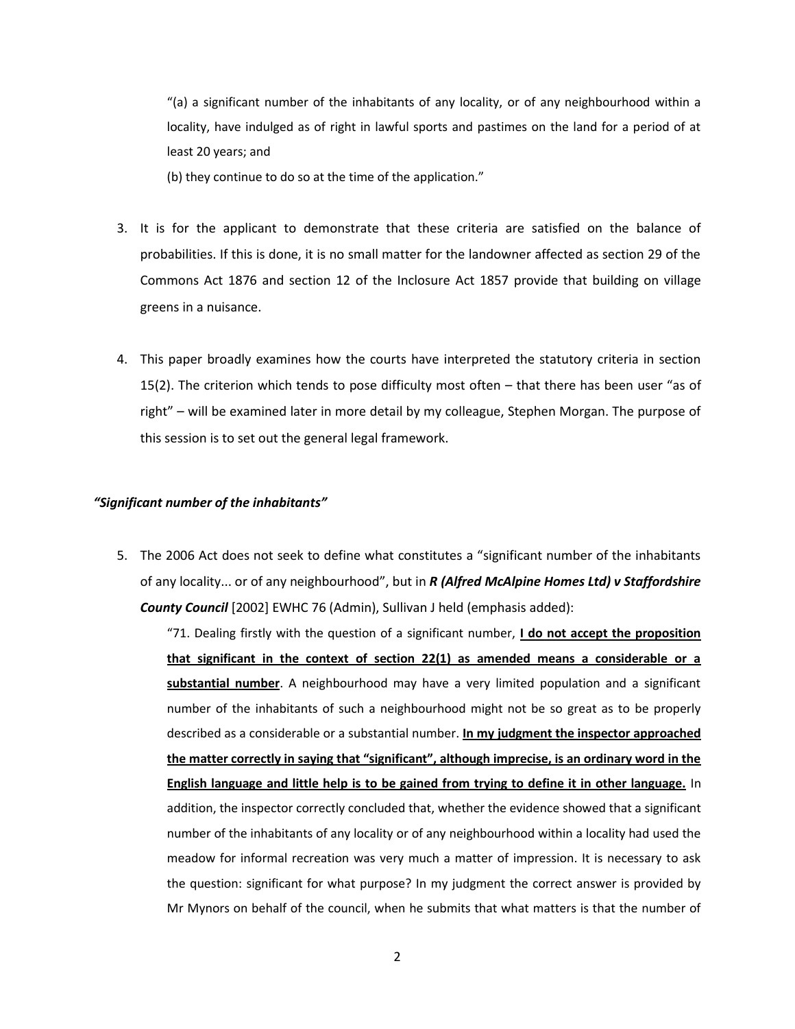"(a) a significant number of the inhabitants of any locality, or of any neighbourhood within a locality, have indulged as of right in lawful sports and pastimes on the land for a period of at least 20 years; and

(b) they continue to do so at the time of the application."

- 3. It is for the applicant to demonstrate that these criteria are satisfied on the balance of probabilities. If this is done, it is no small matter for the landowner affected as section 29 of the Commons Act 1876 and section 12 of the Inclosure Act 1857 provide that building on village greens in a nuisance.
- 4. This paper broadly examines how the courts have interpreted the statutory criteria in section 15(2). The criterion which tends to pose difficulty most often – that there has been user "as of right" – will be examined later in more detail by my colleague, Stephen Morgan. The purpose of this session is to set out the general legal framework.

#### *"Significant number of the inhabitants"*

5. The 2006 Act does not seek to define what constitutes a "significant number of the inhabitants of any locality... or of any neighbourhood", but in *R (Alfred McAlpine Homes Ltd) v Staffordshire County Council* [2002] EWHC 76 (Admin), Sullivan J held (emphasis added):

"71. Dealing firstly with the question of a significant number, **I do not accept the proposition that significant in the context of section 22(1) as amended means a considerable or a substantial number**. A neighbourhood may have a very limited population and a significant number of the inhabitants of such a neighbourhood might not be so great as to be properly described as a considerable or a substantial number. **In my judgment the inspector approached the matter correctly in saying that "significant", although imprecise, is an ordinary word in the English language and little help is to be gained from trying to define it in other language.** In addition, the inspector correctly concluded that, whether the evidence showed that a significant number of the inhabitants of any locality or of any neighbourhood within a locality had used the meadow for informal recreation was very much a matter of impression. It is necessary to ask the question: significant for what purpose? In my judgment the correct answer is provided by Mr Mynors on behalf of the council, when he submits that what matters is that the number of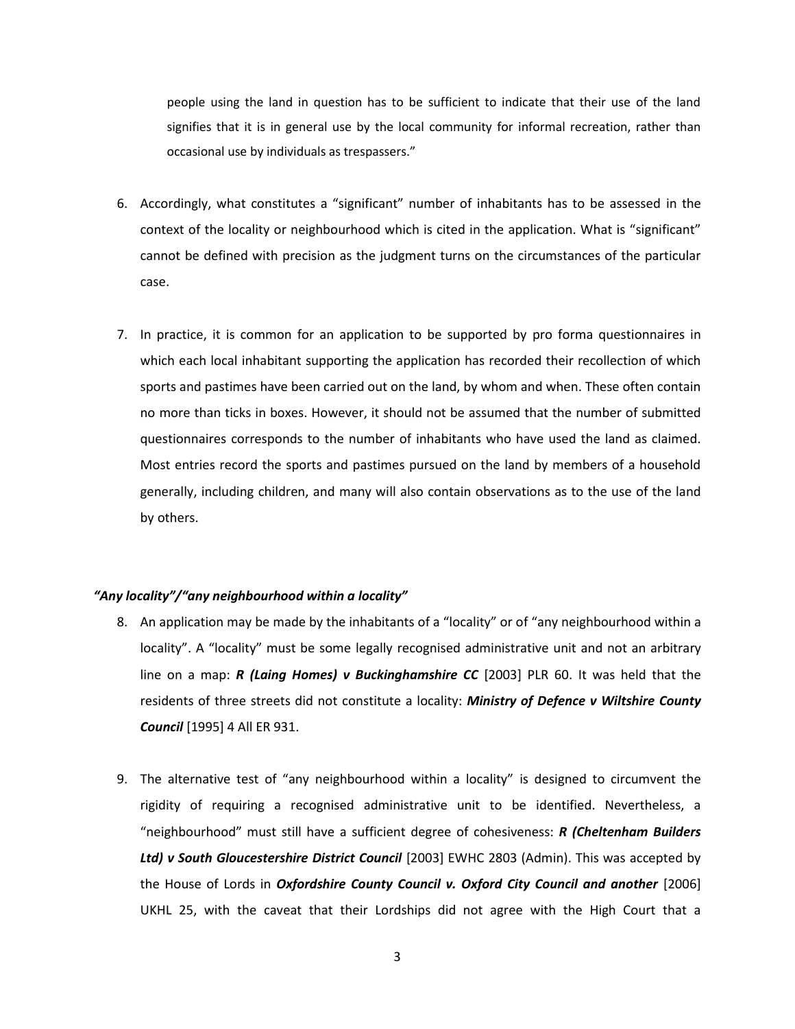people using the land in question has to be sufficient to indicate that their use of the land signifies that it is in general use by the local community for informal recreation, rather than occasional use by individuals as trespassers."

- 6. Accordingly, what constitutes a "significant" number of inhabitants has to be assessed in the context of the locality or neighbourhood which is cited in the application. What is "significant" cannot be defined with precision as the judgment turns on the circumstances of the particular case.
- 7. In practice, it is common for an application to be supported by pro forma questionnaires in which each local inhabitant supporting the application has recorded their recollection of which sports and pastimes have been carried out on the land, by whom and when. These often contain no more than ticks in boxes. However, it should not be assumed that the number of submitted questionnaires corresponds to the number of inhabitants who have used the land as claimed. Most entries record the sports and pastimes pursued on the land by members of a household generally, including children, and many will also contain observations as to the use of the land by others.

## *"Any locality"/"any neighbourhood within a locality"*

- 8. An application may be made by the inhabitants of a "locality" or of "any neighbourhood within a locality". A "locality" must be some legally recognised administrative unit and not an arbitrary line on a map: *R (Laing Homes) v Buckinghamshire CC* [2003] PLR 60. It was held that the residents of three streets did not constitute a locality: *Ministry of Defence v Wiltshire County Council* [1995] 4 All ER 931.
- 9. The alternative test of "any neighbourhood within a locality" is designed to circumvent the rigidity of requiring a recognised administrative unit to be identified. Nevertheless, a "neighbourhood" must still have a sufficient degree of cohesiveness: *R (Cheltenham Builders Ltd) v South Gloucestershire District Council* [2003] EWHC 2803 (Admin). This was accepted by the House of Lords in *Oxfordshire County Council v. Oxford City Council and another* [2006] UKHL 25, with the caveat that their Lordships did not agree with the High Court that a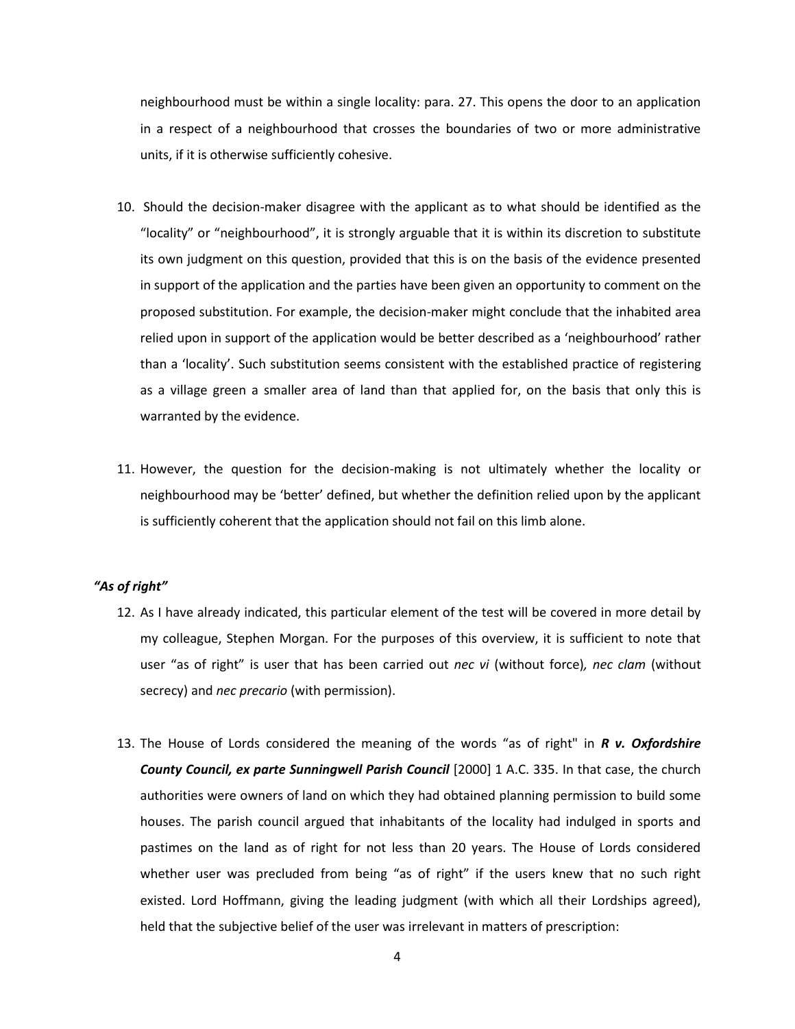neighbourhood must be within a single locality: para. 27. This opens the door to an application in a respect of a neighbourhood that crosses the boundaries of two or more administrative units, if it is otherwise sufficiently cohesive.

- 10. Should the decision-maker disagree with the applicant as to what should be identified as the "locality" or "neighbourhood", it is strongly arguable that it is within its discretion to substitute its own judgment on this question, provided that this is on the basis of the evidence presented in support of the application and the parties have been given an opportunity to comment on the proposed substitution. For example, the decision-maker might conclude that the inhabited area relied upon in support of the application would be better described as a 'neighbourhood' rather than a 'locality'. Such substitution seems consistent with the established practice of registering as a village green a smaller area of land than that applied for, on the basis that only this is warranted by the evidence.
- 11. However, the question for the decision-making is not ultimately whether the locality or neighbourhood may be 'better' defined, but whether the definition relied upon by the applicant is sufficiently coherent that the application should not fail on this limb alone.

## *"As of right"*

- 12. As I have already indicated, this particular element of the test will be covered in more detail by my colleague, Stephen Morgan. For the purposes of this overview, it is sufficient to note that user "as of right" is user that has been carried out *nec vi* (without force)*, nec clam* (without secrecy) and *nec precario* (with permission).
- 13. The House of Lords considered the meaning of the words "as of right" in *R v. Oxfordshire County Council, ex parte Sunningwell Parish Council* [2000] 1 A.C. 335. In that case, the church authorities were owners of land on which they had obtained planning permission to build some houses. The parish council argued that inhabitants of the locality had indulged in sports and pastimes on the land as of right for not less than 20 years. The House of Lords considered whether user was precluded from being "as of right" if the users knew that no such right existed. Lord Hoffmann, giving the leading judgment (with which all their Lordships agreed), held that the subjective belief of the user was irrelevant in matters of prescription: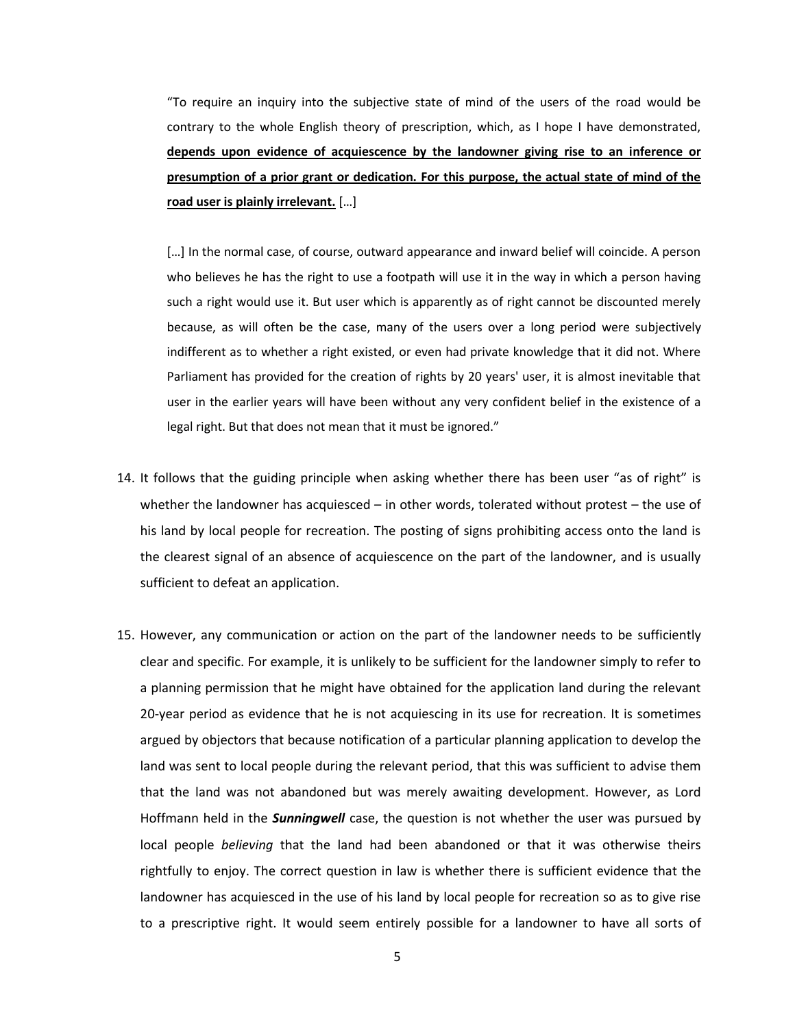"To require an inquiry into the subjective state of mind of the users of the road would be contrary to the whole English theory of prescription, which, as I hope I have demonstrated, **depends upon evidence of acquiescence by the landowner giving rise to an inference or presumption of a prior grant or dedication. For this purpose, the actual state of mind of the road user is plainly irrelevant.** […]

[...] In the normal case, of course, outward appearance and inward belief will coincide. A person who believes he has the right to use a footpath will use it in the way in which a person having such a right would use it. But user which is apparently as of right cannot be discounted merely because, as will often be the case, many of the users over a long period were subjectively indifferent as to whether a right existed, or even had private knowledge that it did not. Where Parliament has provided for the creation of rights by 20 years' user, it is almost inevitable that user in the earlier years will have been without any very confident belief in the existence of a legal right. But that does not mean that it must be ignored."

- 14. It follows that the guiding principle when asking whether there has been user "as of right" is whether the landowner has acquiesced – in other words, tolerated without protest – the use of his land by local people for recreation. The posting of signs prohibiting access onto the land is the clearest signal of an absence of acquiescence on the part of the landowner, and is usually sufficient to defeat an application.
- 15. However, any communication or action on the part of the landowner needs to be sufficiently clear and specific. For example, it is unlikely to be sufficient for the landowner simply to refer to a planning permission that he might have obtained for the application land during the relevant 20-year period as evidence that he is not acquiescing in its use for recreation. It is sometimes argued by objectors that because notification of a particular planning application to develop the land was sent to local people during the relevant period, that this was sufficient to advise them that the land was not abandoned but was merely awaiting development. However, as Lord Hoffmann held in the *Sunningwell* case, the question is not whether the user was pursued by local people *believing* that the land had been abandoned or that it was otherwise theirs rightfully to enjoy. The correct question in law is whether there is sufficient evidence that the landowner has acquiesced in the use of his land by local people for recreation so as to give rise to a prescriptive right. It would seem entirely possible for a landowner to have all sorts of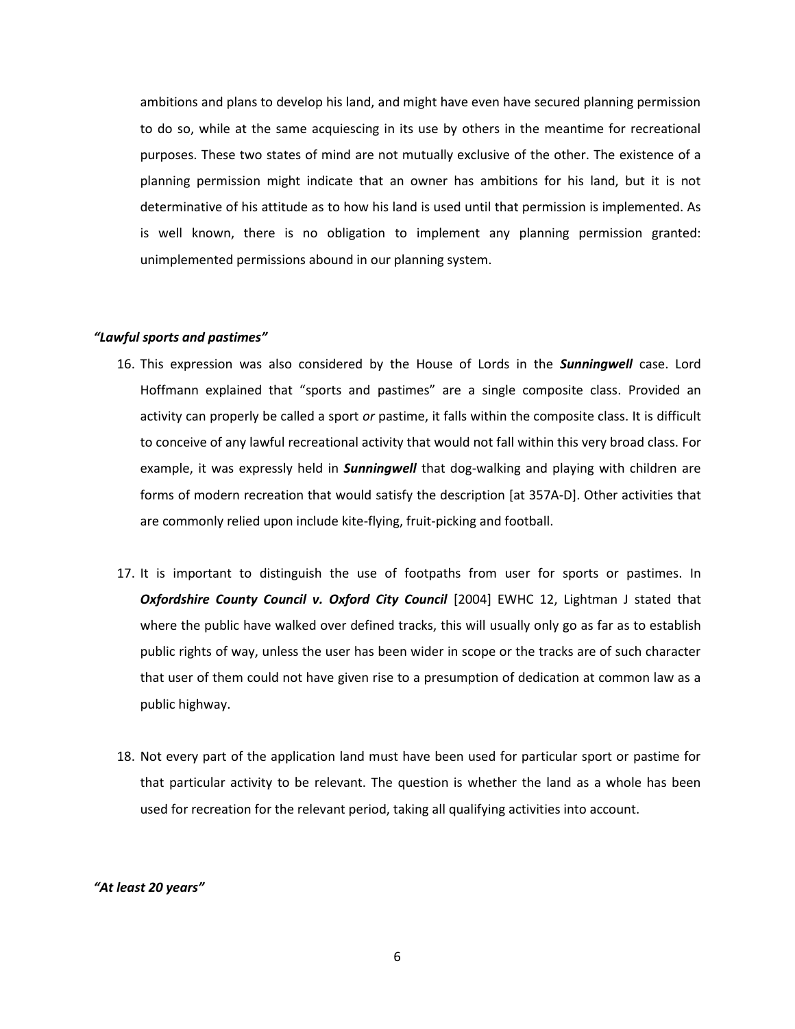ambitions and plans to develop his land, and might have even have secured planning permission to do so, while at the same acquiescing in its use by others in the meantime for recreational purposes. These two states of mind are not mutually exclusive of the other. The existence of a planning permission might indicate that an owner has ambitions for his land, but it is not determinative of his attitude as to how his land is used until that permission is implemented. As is well known, there is no obligation to implement any planning permission granted: unimplemented permissions abound in our planning system.

## *"Lawful sports and pastimes"*

- 16. This expression was also considered by the House of Lords in the *Sunningwell* case. Lord Hoffmann explained that "sports and pastimes" are a single composite class. Provided an activity can properly be called a sport *or* pastime, it falls within the composite class. It is difficult to conceive of any lawful recreational activity that would not fall within this very broad class. For example, it was expressly held in *Sunningwell* that dog-walking and playing with children are forms of modern recreation that would satisfy the description [at 357A-D]. Other activities that are commonly relied upon include kite-flying, fruit-picking and football.
- 17. It is important to distinguish the use of footpaths from user for sports or pastimes. In *Oxfordshire County Council v. Oxford City Council* [2004] EWHC 12, Lightman J stated that where the public have walked over defined tracks, this will usually only go as far as to establish public rights of way, unless the user has been wider in scope or the tracks are of such character that user of them could not have given rise to a presumption of dedication at common law as a public highway.
- 18. Not every part of the application land must have been used for particular sport or pastime for that particular activity to be relevant. The question is whether the land as a whole has been used for recreation for the relevant period, taking all qualifying activities into account.

#### *"At least 20 years"*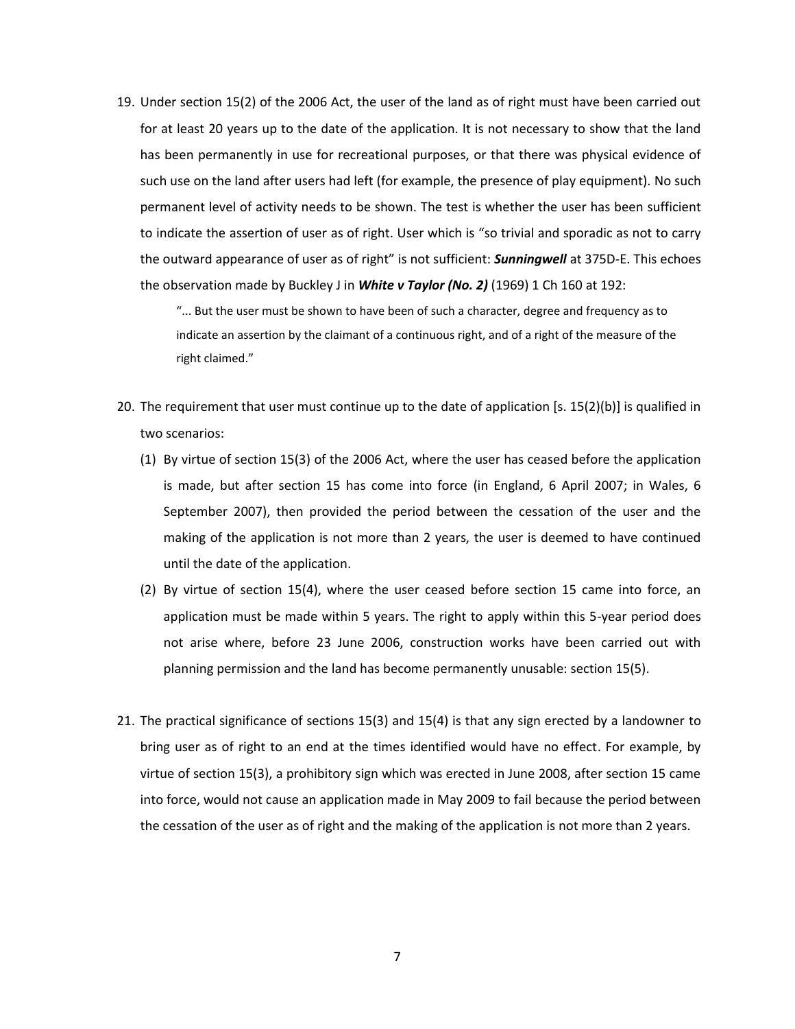19. Under section 15(2) of the 2006 Act, the user of the land as of right must have been carried out for at least 20 years up to the date of the application. It is not necessary to show that the land has been permanently in use for recreational purposes, or that there was physical evidence of such use on the land after users had left (for example, the presence of play equipment). No such permanent level of activity needs to be shown. The test is whether the user has been sufficient to indicate the assertion of user as of right. User which is "so trivial and sporadic as not to carry the outward appearance of user as of right" is not sufficient: *Sunningwell* at 375D-E. This echoes the observation made by Buckley J in *White v Taylor (No. 2)* (1969) 1 Ch 160 at 192:

"... But the user must be shown to have been of such a character, degree and frequency as to indicate an assertion by the claimant of a continuous right, and of a right of the measure of the right claimed."

- 20. The requirement that user must continue up to the date of application [s. 15(2)(b)] is qualified in two scenarios:
	- (1) By virtue of section 15(3) of the 2006 Act, where the user has ceased before the application is made, but after section 15 has come into force (in England, 6 April 2007; in Wales, 6 September 2007), then provided the period between the cessation of the user and the making of the application is not more than 2 years, the user is deemed to have continued until the date of the application.
	- (2) By virtue of section 15(4), where the user ceased before section 15 came into force, an application must be made within 5 years. The right to apply within this 5-year period does not arise where, before 23 June 2006, construction works have been carried out with planning permission and the land has become permanently unusable: section 15(5).
- 21. The practical significance of sections 15(3) and 15(4) is that any sign erected by a landowner to bring user as of right to an end at the times identified would have no effect. For example, by virtue of section 15(3), a prohibitory sign which was erected in June 2008, after section 15 came into force, would not cause an application made in May 2009 to fail because the period between the cessation of the user as of right and the making of the application is not more than 2 years.